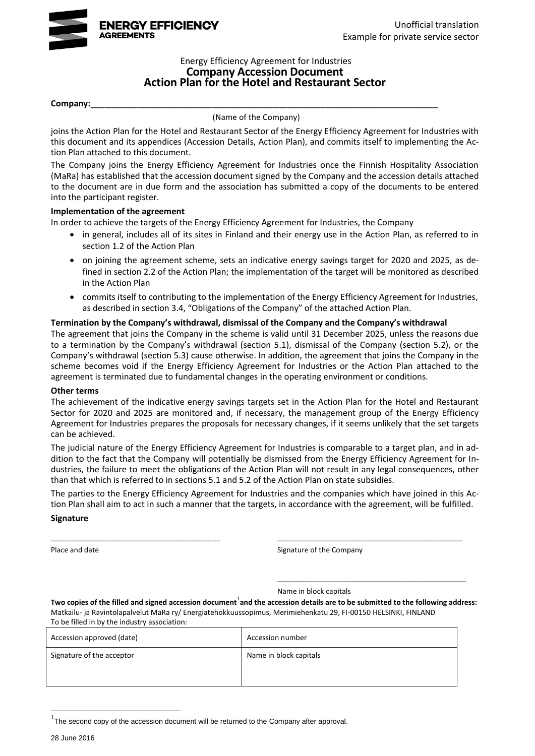

#### Energy Efficiency Agreement for Industries **Company Accession Document Action Plan for the Hotel and Restaurant Sector**

#### **Company:**\_\_\_\_\_\_\_\_\_\_\_\_\_\_\_\_\_\_\_\_\_\_\_\_\_\_\_\_\_\_\_\_\_\_\_\_\_\_\_\_\_\_\_\_\_\_\_\_\_\_\_\_\_\_\_\_\_\_\_\_\_\_\_\_\_\_\_\_\_\_\_\_\_\_

(Name of the Company)

joins the Action Plan for the Hotel and Restaurant Sector of the Energy Efficiency Agreement for Industries with this document and its appendices (Accession Details, Action Plan), and commits itself to implementing the Action Plan attached to this document.

The Company joins the Energy Efficiency Agreement for Industries once the Finnish Hospitality Association (MaRa) has established that the accession document signed by the Company and the accession details attached to the document are in due form and the association has submitted a copy of the documents to be entered into the participant register.

#### **Implementation of the agreement**

In order to achieve the targets of the Energy Efficiency Agreement for Industries, the Company

- in general, includes all of its sites in Finland and their energy use in the Action Plan, as referred to in section 1.2 of the Action Plan
- on joining the agreement scheme, sets an indicative energy savings target for 2020 and 2025, as defined in section 2.2 of the Action Plan; the implementation of the target will be monitored as described in the Action Plan
- commits itself to contributing to the implementation of the Energy Efficiency Agreement for Industries, as described in section 3.4, "Obligations of the Company" of the attached Action Plan.

#### **Termination by the Company's withdrawal, dismissal of the Company and the Company's withdrawal**

The agreement that joins the Company in the scheme is valid until 31 December 2025, unless the reasons due to a termination by the Company's withdrawal (section 5.1), dismissal of the Company (section 5.2), or the Company's withdrawal (section 5.3) cause otherwise. In addition, the agreement that joins the Company in the scheme becomes void if the Energy Efficiency Agreement for Industries or the Action Plan attached to the agreement is terminated due to fundamental changes in the operating environment or conditions.

#### **Other terms**

The achievement of the indicative energy savings targets set in the Action Plan for the Hotel and Restaurant Sector for 2020 and 2025 are monitored and, if necessary, the management group of the Energy Efficiency Agreement for Industries prepares the proposals for necessary changes, if it seems unlikely that the set targets can be achieved.

The judicial nature of the Energy Efficiency Agreement for Industries is comparable to a target plan, and in addition to the fact that the Company will potentially be dismissed from the Energy Efficiency Agreement for Industries, the failure to meet the obligations of the Action Plan will not result in any legal consequences, other than that which is referred to in sections 5.1 and 5.2 of the Action Plan on state subsidies.

The parties to the Energy Efficiency Agreement for Industries and the companies which have joined in this Action Plan shall aim to act in such a manner that the targets, in accordance with the agreement, will be fulfilled.

\_\_\_\_\_\_\_\_\_\_\_\_\_\_\_\_\_\_\_\_\_\_\_\_\_\_\_\_\_\_\_\_\_\_\_\_\_\_\_\_\_\_ \_\_\_\_\_\_\_\_\_\_\_\_\_\_\_\_\_\_\_\_\_\_\_\_\_\_\_\_\_\_\_\_\_\_\_\_\_\_\_\_\_\_\_\_\_\_

#### **Signature**

Place and date **Signature of the Company** 

\_\_\_\_\_\_\_\_\_\_\_\_\_\_\_\_\_\_\_\_\_\_\_\_\_\_\_\_\_\_\_\_\_\_\_\_\_\_\_\_\_\_\_\_\_\_\_

Name in block capitals

Two copies of the filled and signed accession document<sup>1</sup>and the accession details are to be submitted to the following address: Matkailu- ja Ravintolapalvelut MaRa ry/ Energiatehokkuussopimus, Merimiehenkatu 29, FI-00150 HELSINKI, FINLAND To be filled in by the industry association:

| TO DC THICU ITI DY THE INQUSTLY USSOCIATION. |                        |  |
|----------------------------------------------|------------------------|--|
| Accession approved (date)                    | Accession number       |  |
| Signature of the acceptor                    | Name in block capitals |  |

 $1$ The second copy of the accession document will be returned to the Company after approval.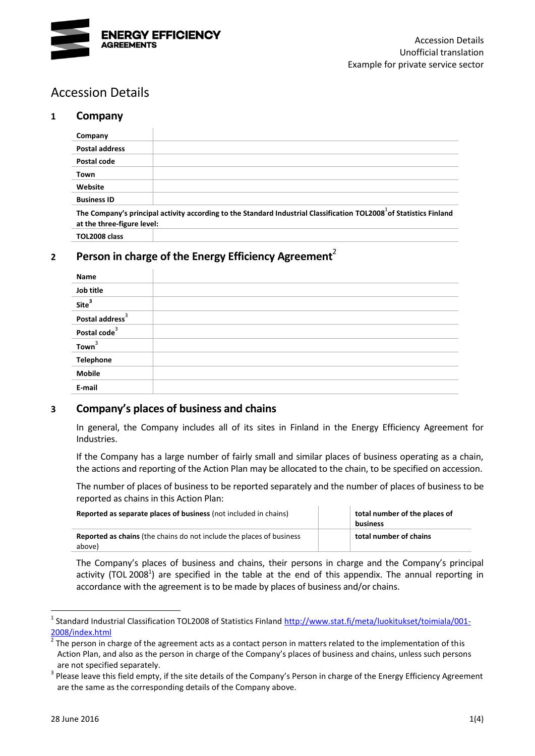

# Accession Details

### **1 Company**

<span id="page-1-1"></span>

| Company                                                                                                                                                       |  |  |  |
|---------------------------------------------------------------------------------------------------------------------------------------------------------------|--|--|--|
| <b>Postal address</b>                                                                                                                                         |  |  |  |
| Postal code                                                                                                                                                   |  |  |  |
| Town                                                                                                                                                          |  |  |  |
| Website                                                                                                                                                       |  |  |  |
| <b>Business ID</b>                                                                                                                                            |  |  |  |
| The Company's principal activity according to the Standard Industrial Classification TOL2008 <sup>1</sup> of Statistics Finland<br>at the three-figure level: |  |  |  |
| TOL2008 class                                                                                                                                                 |  |  |  |

# **<sup>2</sup> Person in charge of the Energy Efficiency Agreement**<sup>2</sup>

<span id="page-1-0"></span>

| Name                        |  |
|-----------------------------|--|
| Job title                   |  |
| Site <sup>3</sup>           |  |
| Postal address <sup>3</sup> |  |
| Postal code <sup>3</sup>    |  |
| Town <sup>3</sup>           |  |
| <b>Telephone</b>            |  |
| <b>Mobile</b>               |  |
| E-mail                      |  |

#### **3 Company's places of business and chains**

In general, the Company includes all of its sites in Finland in the Energy Efficiency Agreement for Industries.

If the Company has a large number of fairly small and similar places of business operating as a chain, the actions and reporting of the Action Plan may be allocated to the chain, to be specified on accession.

The number of places of business to be reported separately and the number of places of business to be reported as chains in this Action Plan:

| <b>Reported as separate places of business</b> (not included in chains)               | total number of the places of<br>business |
|---------------------------------------------------------------------------------------|-------------------------------------------|
| <b>Reported as chains</b> (the chains do not include the places of business<br>above) | total number of chains                    |

The Company's places of business and chains, their persons in charge and the Company's principal activity (TOL 200[8](#page-1-1)<sup>1</sup>) are specified in the table at the end of this appendix. The annual reporting in accordance with the agreement is to be made by places of business and/or chains.

<sup>&</sup>lt;sup>1</sup> Standard Industrial Classification TOL2008 of Statistics Finland [http://www.stat.fi/meta/luokitukset/toimiala/001-](http://www.stat.fi/meta/luokitukset/toimiala/001-2008/index.html) [2008/index.html](http://www.stat.fi/meta/luokitukset/toimiala/001-2008/index.html)

<sup>2</sup> The person in charge of the agreement acts as a contact person in matters related to the implementation of this Action Plan, and also as the person in charge of the Company's places of business and chains, unless such persons are not specified separately.

 $3$  Please leave this field empty, if the site details of the Company's Person in charge of the Energy Efficiency Agreement are the same as the corresponding details of the Company above.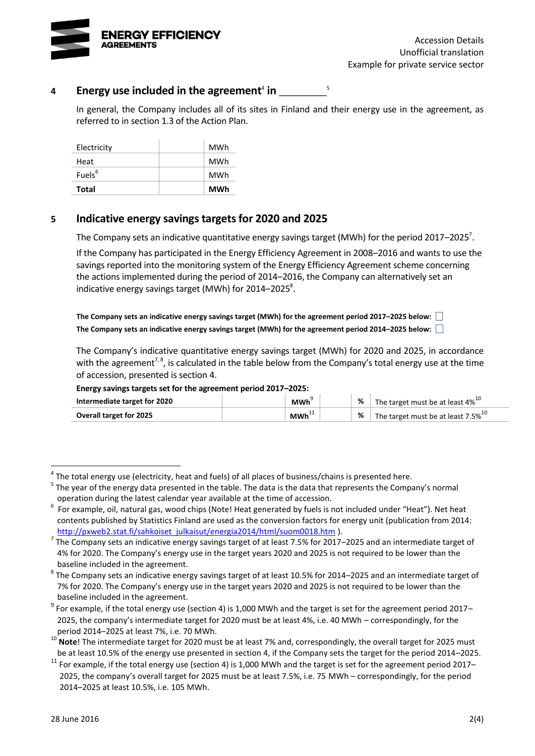

# 4 Energy use included in the agreement<sup>4</sup> in \_\_\_\_\_\_\_\_\_

In general, the Company includes all of its sites in Finland and their energy use in the agreement, as referred to in section 1.3 of the Action Plan.

<span id="page-2-2"></span><span id="page-2-1"></span><span id="page-2-0"></span>5

| Electricity        | MWh |
|--------------------|-----|
| Heat               | MWh |
| Fuels <sup>6</sup> | MWh |
| <b>Total</b>       | MWh |

### **5 Indicative energy savings targets for 2020 and 2025**

The Company sets an indicative quantitative energy savings target (MWh) for the period 2017–2025<sup>7</sup>.

If the Company has participated in the Energy Efficiency Agreement in 2008–2016 and wants to use the savings reported into the monitoring system of the Energy Efficiency Agreement scheme concerning the actions implemented during the period of 2014–2016, the Company can alternatively set an indicative energy savings target (MWh) for 2014–2025 $^8$ .

**The Company sets an indicative energy savings target (MWh) for the agreement period 2017–2025 below: The Company sets an indicative energy savings target (MWh) for the agreement period 2014–2025 below:**

The Company's indicative quantitative energy savings target (MWh) for 2020 and 2025, in accordance with the agreement<sup>[7,](#page-2-0) [8](#page-2-1)</sup>, is calculated in the table below from the Company's total energy use at the time of accession, presented is section 4.

#### **Energy savings targets set for the agreement period 2017–2025:**

| Intermediate target for 2020   | <b>MWh</b>          | % | The target must be at least 4% <sup>10</sup>   |
|--------------------------------|---------------------|---|------------------------------------------------|
| <b>Overall target for 2025</b> | ∴ MWh <sup>⊹∶</sup> |   | The target must be at least 7.5% <sup>10</sup> |

 $^4$  The total energy use (electricity, heat and fuels) of all places of business/chains is presented here.

<sup>&</sup>lt;sup>5</sup> The year of the energy data presented in the table. The data is the data that represents the Company's normal operation during the latest calendar year available at the time of accession.

 $^6$  For example, oil, natural gas, wood chips (Note! Heat generated by fuels is not included under "Heat"). Net heat contents published by Statistics Finland are used as the conversion factors for energy unit (publication from 2014: [http://pxweb2.stat.fi/sahkoiset\\_julkaisut/energia2014/html/suom0018.htm](http://pxweb2.stat.fi/sahkoiset_julkaisut/energia2014/html/suom0018.htm) ).

<sup>7</sup> The Company sets an indicative energy savings target of at least 7.5% for 2017–2025 and an intermediate target of 4% for 2020. The Company's energy use in the target years 2020 and 2025 is not required to be lower than the baseline included in the agreement.

 $^8$  The Company sets an indicative energy savings target of at least 10.5% for 2014–2025 and an intermediate target of 7% for 2020. The Company's energy use in the target years 2020 and 2025 is not required to be lower than the baseline included in the agreement.

 $^9$  For example, if the total energy use (section 4) is 1,000 MWh and the target is set for the agreement period 2017– 2025, the company's intermediate target for 2020 must be at least 4%, i.e. 40 MWh – correspondingly, for the period 2014–2025 at least 7%, i.e. 70 MWh.

<sup>&</sup>lt;sup>10</sup> Note! The intermediate target for 2020 must be at least 7% and, correspondingly, the overall target for 2025 must be at least 10.5% of the energy use presented in section 4, if the Company sets the target for the period 2014–2025.

 $11$  For example, if the total energy use (section 4) is 1,000 MWh and the target is set for the agreement period 2017– 2025, the company's overall target for 2025 must be at least 7.5%, i.e. 75 MWh – correspondingly, for the period 2014–2025 at least 10.5%, i.e. 105 MWh.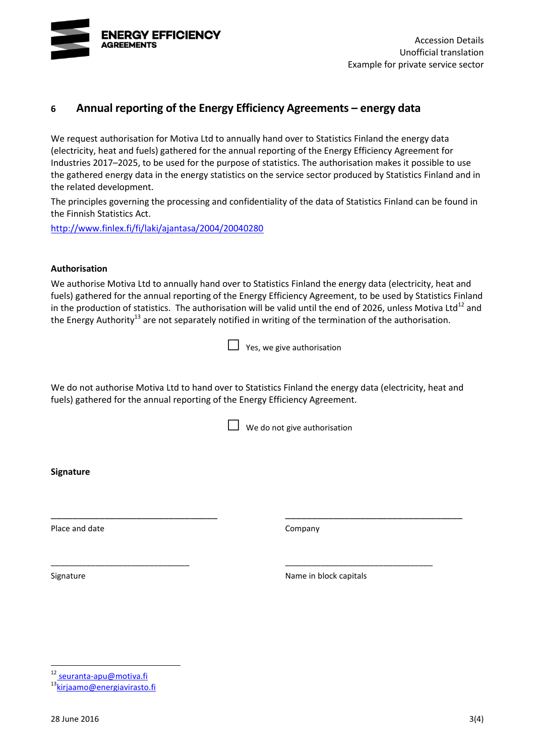

### **6 Annual reporting of the Energy Efficiency Agreements – energy data**

We request authorisation for Motiva Ltd to annually hand over to Statistics Finland the energy data (electricity, heat and fuels) gathered for the annual reporting of the Energy Efficiency Agreement for Industries 2017–2025, to be used for the purpose of statistics. The authorisation makes it possible to use the gathered energy data in the energy statistics on the service sector produced by Statistics Finland and in the related development.

The principles governing the processing and confidentiality of the data of Statistics Finland can be found in the Finnish Statistics Act.

<http://www.finlex.fi/fi/laki/ajantasa/2004/20040280>

#### **Authorisation**

We authorise Motiva Ltd to annually hand over to Statistics Finland the energy data (electricity, heat and fuels) gathered for the annual reporting of the Energy Efficiency Agreement, to be used by Statistics Finland in the production of statistics. The authorisation will be valid until the end of 2026, unless Motiva Ltd<sup>12</sup> and the Energy Authority<sup>13</sup> are not separately notified in writing of the termination of the authorisation.

| $\Box$ Yes, we give authorisation |
|-----------------------------------|
|                                   |

We do not authorise Motiva Ltd to hand over to Statistics Finland the energy data (electricity, heat and fuels) gathered for the annual reporting of the Energy Efficiency Agreement.

\_\_\_\_\_\_\_\_\_\_\_\_\_\_\_\_\_\_\_\_\_\_\_\_\_\_\_\_\_\_\_ \_\_\_\_\_\_\_\_\_\_\_\_\_\_\_\_\_\_\_\_\_\_\_\_\_\_\_\_\_\_\_\_\_

\_\_\_\_\_\_\_\_\_\_\_\_\_\_\_\_\_\_\_\_\_\_\_\_\_\_\_\_\_\_\_ \_\_\_\_\_\_\_\_\_\_\_\_\_\_\_\_\_\_\_\_\_\_\_\_\_\_\_\_\_\_\_\_\_

 $\Box$  We do not give authorisation

**Signature**

Place and date Company

Signature **Name in block capitals** Signature **Name in block capitals** 

12 seuranta-apu@motiva.fi

<sup>13</sup>[kirjaamo@energiavirasto.fi](mailto:kirjaamo@energiavirasto.fi)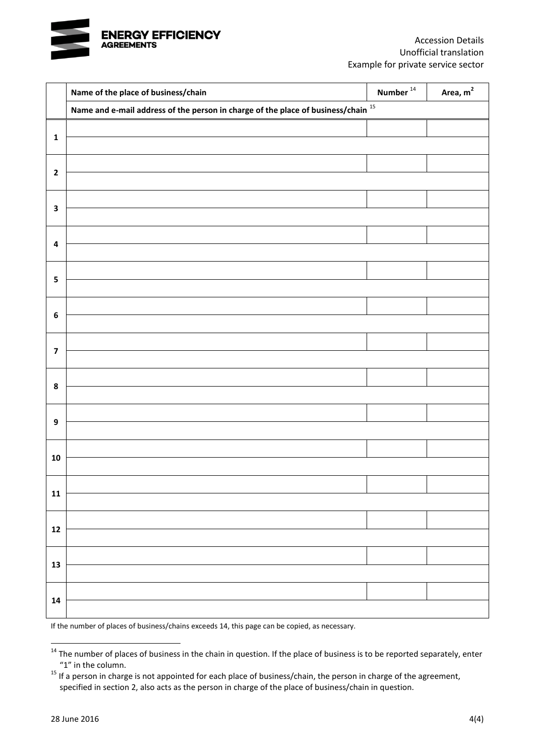

|                         | Name of the place of business/chain                                                    | Number $^{14}$ | Area, m <sup>2</sup> |
|-------------------------|----------------------------------------------------------------------------------------|----------------|----------------------|
|                         | Name and e-mail address of the person in charge of the place of business/chain $^{15}$ |                |                      |
| $\mathbf 1$             |                                                                                        |                |                      |
|                         |                                                                                        |                |                      |
| $\mathbf{2}$            |                                                                                        |                |                      |
|                         |                                                                                        |                |                      |
| $\overline{\mathbf{3}}$ |                                                                                        |                |                      |
|                         |                                                                                        |                |                      |
| 4                       |                                                                                        |                |                      |
|                         |                                                                                        |                |                      |
| ${\mathbf 5}$           |                                                                                        |                |                      |
|                         |                                                                                        |                |                      |
| $\boldsymbol{6}$        |                                                                                        |                |                      |
|                         |                                                                                        |                |                      |
| $\overline{\mathbf{z}}$ |                                                                                        |                |                      |
|                         |                                                                                        |                |                      |
| $\pmb{8}$               |                                                                                        |                |                      |
|                         |                                                                                        |                |                      |
| $\boldsymbol{9}$        |                                                                                        |                |                      |
|                         |                                                                                        |                |                      |
| ${\bf 10}$              |                                                                                        |                |                      |
| ${\bf 11}$              |                                                                                        |                |                      |
|                         |                                                                                        |                |                      |
| ${\bf 12}$              |                                                                                        |                |                      |
|                         |                                                                                        |                |                      |
| ${\bf 13}$              |                                                                                        |                |                      |
|                         |                                                                                        |                |                      |
| 14                      |                                                                                        |                |                      |
|                         |                                                                                        |                |                      |

If the number of places of business/chains exceeds 14, this page can be copied, as necessary.

<sup>&</sup>lt;sup>14</sup> The number of places of business in the chain in question. If the place of business is to be reported separately, enter "1" in the column.

<sup>&</sup>lt;sup>15</sup> If a person in charge is not appointed for each place of business/chain, the person in charge of the agreement, specified in section 2, also acts as the person in charge of the place of business/chain in question.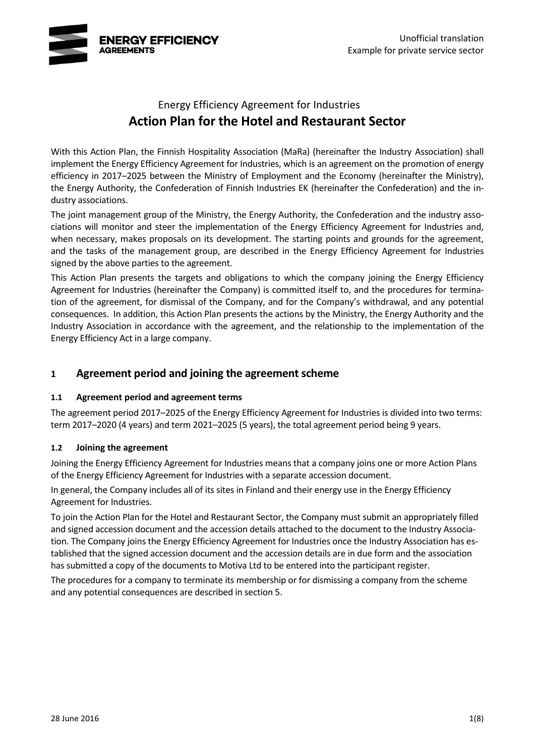

# Energy Efficiency Agreement for Industries **Action Plan for the Hotel and Restaurant Sector**

With this Action Plan, the Finnish Hospitality Association (MaRa) (hereinafter the Industry Association) shall implement the Energy Efficiency Agreement for Industries, which is an agreement on the promotion of energy efficiency in 2017–2025 between the Ministry of Employment and the Economy (hereinafter the Ministry), the Energy Authority, the Confederation of Finnish Industries EK (hereinafter the Confederation) and the industry associations.

The joint management group of the Ministry, the Energy Authority, the Confederation and the industry associations will monitor and steer the implementation of the Energy Efficiency Agreement for Industries and, when necessary, makes proposals on its development. The starting points and grounds for the agreement, and the tasks of the management group, are described in the Energy Efficiency Agreement for Industries signed by the above parties to the agreement.

This Action Plan presents the targets and obligations to which the company joining the Energy Efficiency Agreement for Industries (hereinafter the Company) is committed itself to, and the procedures for termination of the agreement, for dismissal of the Company, and for the Company's withdrawal, and any potential consequences. In addition, this Action Plan presents the actions by the Ministry, the Energy Authority and the Industry Association in accordance with the agreement, and the relationship to the implementation of the Energy Efficiency Act in a large company.

### **1 Agreement period and joining the agreement scheme**

#### **1.1 Agreement period and agreement terms**

The agreement period 2017–2025 of the Energy Efficiency Agreement for Industries is divided into two terms: term 2017–2020 (4 years) and term 2021–2025 (5 years), the total agreement period being 9 years.

#### **1.2 Joining the agreement**

Joining the Energy Efficiency Agreement for Industries means that a company joins one or more Action Plans of the Energy Efficiency Agreement for Industries with a separate accession document.

In general, the Company includes all of its sites in Finland and their energy use in the Energy Efficiency Agreement for Industries.

To join the Action Plan for the Hotel and Restaurant Sector, the Company must submit an appropriately filled and signed accession document and the accession details attached to the document to the Industry Association. The Company joins the Energy Efficiency Agreement for Industries once the Industry Association has established that the signed accession document and the accession details are in due form and the association has submitted a copy of the documents to Motiva Ltd to be entered into the participant register.

The procedures for a company to terminate its membership or for dismissing a company from the scheme and any potential consequences are described in section 5.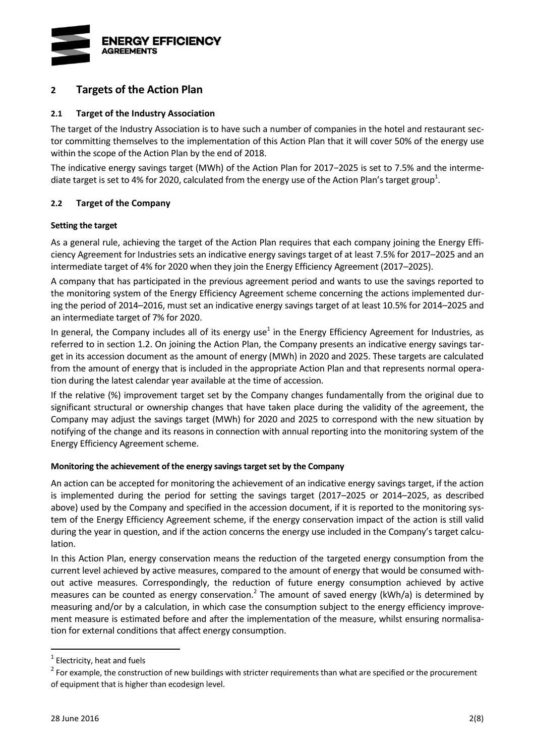

### **2 Targets of the Action Plan**

#### **2.1 Target of the Industry Association**

The target of the Industry Association is to have such a number of companies in the hotel and restaurant sector committing themselves to the implementation of this Action Plan that it will cover 50% of the energy use within the scope of the Action Plan by the end of 2018.

<span id="page-6-0"></span>The indicative energy savings target (MWh) of the Action Plan for 2017−2025 is set to 7.5% and the intermediate target is set to 4% for 2020, calculated from the energy use of the Action Plan's target group<sup>1</sup>.

#### **2.2 Target of the Company**

#### **Setting the target**

As a general rule, achieving the target of the Action Plan requires that each company joining the Energy Efficiency Agreement for Industries sets an indicative energy savings target of at least 7.5% for 2017–2025 and an intermediate target of 4% for 2020 when they join the Energy Efficiency Agreement (2017–2025).

A company that has participated in the previous agreement period and wants to use the savings reported to the monitoring system of the Energy Efficiency Agreement scheme concerning the actions implemented during the period of 2014–2016, must set an indicative energy savings target of at least 10.5% for 2014–2025 and an intermediate target of 7% for 2020.

In g[e](#page-6-0)neral, the Company includes all of its energy use<sup>1</sup> in the Energy Efficiency Agreement for Industries, as referred to in section 1.2. On joining the Action Plan, the Company presents an indicative energy savings target in its accession document as the amount of energy (MWh) in 2020 and 2025. These targets are calculated from the amount of energy that is included in the appropriate Action Plan and that represents normal operation during the latest calendar year available at the time of accession.

If the relative (%) improvement target set by the Company changes fundamentally from the original due to significant structural or ownership changes that have taken place during the validity of the agreement, the Company may adjust the savings target (MWh) for 2020 and 2025 to correspond with the new situation by notifying of the change and its reasons in connection with annual reporting into the monitoring system of the Energy Efficiency Agreement scheme.

#### **Monitoring the achievement of the energy savings target set by the Company**

An action can be accepted for monitoring the achievement of an indicative energy savings target, if the action is implemented during the period for setting the savings target (2017–2025 or 2014–2025, as described above) used by the Company and specified in the accession document, if it is reported to the monitoring system of the Energy Efficiency Agreement scheme, if the energy conservation impact of the action is still valid during the year in question, and if the action concerns the energy use included in the Company's target calculation.

In this Action Plan, energy conservation means the reduction of the targeted energy consumption from the current level achieved by active measures, compared to the amount of energy that would be consumed without active measures. Correspondingly, the reduction of future energy consumption achieved by active measures can be counted as energy conservation.<sup>2</sup> The amount of saved energy (kWh/a) is determined by measuring and/or by a calculation, in which case the consumption subject to the energy efficiency improvement measure is estimated before and after the implementation of the measure, whilst ensuring normalisation for external conditions that affect energy consumption.

 $<sup>1</sup>$  Electricity, heat and fuels</sup>

<sup>&</sup>lt;sup>2</sup> For example, the construction of new buildings with stricter requirements than what are specified or the procurement of equipment that is higher than ecodesign level.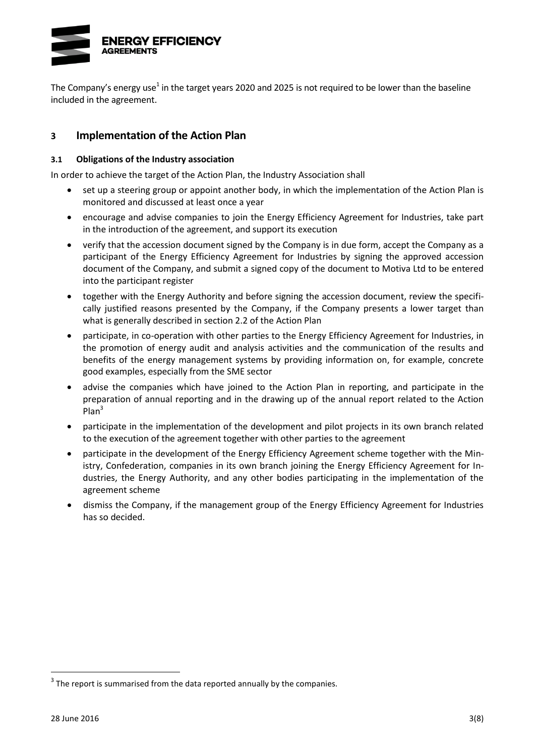

The Company's energy use<sup>[1](#page-6-0)</sup> in the target years 2020 and 2025 is not required to be lower than the baseline included in the agreement.

### **3 Implementation of the Action Plan**

#### **3.1 Obligations of the Industry association**

In order to achieve the target of the Action Plan, the Industry Association shall

- set up a steering group or appoint another body, in which the implementation of the Action Plan is monitored and discussed at least once a year
- encourage and advise companies to join the Energy Efficiency Agreement for Industries, take part in the introduction of the agreement, and support its execution
- verify that the accession document signed by the Company is in due form, accept the Company as a participant of the Energy Efficiency Agreement for Industries by signing the approved accession document of the Company, and submit a signed copy of the document to Motiva Ltd to be entered into the participant register
- together with the Energy Authority and before signing the accession document, review the specifically justified reasons presented by the Company, if the Company presents a lower target than what is generally described in section 2.2 of the Action Plan
- participate, in co-operation with other parties to the Energy Efficiency Agreement for Industries, in the promotion of energy audit and analysis activities and the communication of the results and benefits of the energy management systems by providing information on, for example, concrete good examples, especially from the SME sector
- advise the companies which have joined to the Action Plan in reporting, and participate in the preparation of annual reporting and in the drawing up of the annual report related to the Action  $Plan<sup>3</sup>$
- participate in the implementation of the development and pilot projects in its own branch related to the execution of the agreement together with other parties to the agreement
- participate in the development of the Energy Efficiency Agreement scheme together with the Ministry, Confederation, companies in its own branch joining the Energy Efficiency Agreement for Industries, the Energy Authority, and any other bodies participating in the implementation of the agreement scheme
- dismiss the Company, if the management group of the Energy Efficiency Agreement for Industries has so decided.

 $3$  The report is summarised from the data reported annually by the companies.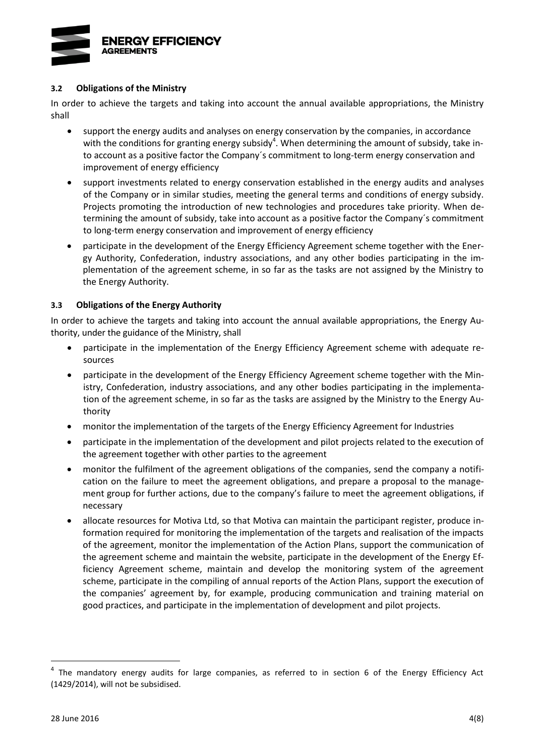

#### **3.2 Obligations of the Ministry**

In order to achieve the targets and taking into account the annual available appropriations, the Ministry shall

- support the energy audits and analyses on energy conservation by the companies, in accordance with the conditions for granting energy subsidy<sup>4</sup>. When determining the amount of subsidy, take into account as a positive factor the Company´s commitment to long-term energy conservation and improvement of energy efficiency
- support investments related to energy conservation established in the energy audits and analyses of the Company or in similar studies, meeting the general terms and conditions of energy subsidy. Projects promoting the introduction of new technologies and procedures take priority. When determining the amount of subsidy, take into account as a positive factor the Company´s commitment to long-term energy conservation and improvement of energy efficiency
- participate in the development of the Energy Efficiency Agreement scheme together with the Energy Authority, Confederation, industry associations, and any other bodies participating in the implementation of the agreement scheme, in so far as the tasks are not assigned by the Ministry to the Energy Authority.

#### **3.3 Obligations of the Energy Authority**

In order to achieve the targets and taking into account the annual available appropriations, the Energy Authority, under the guidance of the Ministry, shall

- participate in the implementation of the Energy Efficiency Agreement scheme with adequate resources
- participate in the development of the Energy Efficiency Agreement scheme together with the Ministry, Confederation, industry associations, and any other bodies participating in the implementation of the agreement scheme, in so far as the tasks are assigned by the Ministry to the Energy Authority
- monitor the implementation of the targets of the Energy Efficiency Agreement for Industries
- participate in the implementation of the development and pilot projects related to the execution of the agreement together with other parties to the agreement
- monitor the fulfilment of the agreement obligations of the companies, send the company a notification on the failure to meet the agreement obligations, and prepare a proposal to the management group for further actions, due to the company's failure to meet the agreement obligations, if necessary
- allocate resources for Motiva Ltd, so that Motiva can maintain the participant register, produce information required for monitoring the implementation of the targets and realisation of the impacts of the agreement, monitor the implementation of the Action Plans, support the communication of the agreement scheme and maintain the website, participate in the development of the Energy Efficiency Agreement scheme, maintain and develop the monitoring system of the agreement scheme, participate in the compiling of annual reports of the Action Plans, support the execution of the companies' agreement by, for example, producing communication and training material on good practices, and participate in the implementation of development and pilot projects.

<sup>&</sup>lt;sup>4</sup> The mandatory energy audits for large companies, as referred to in section 6 of the Energy Efficiency Act (1429/2014), will not be subsidised.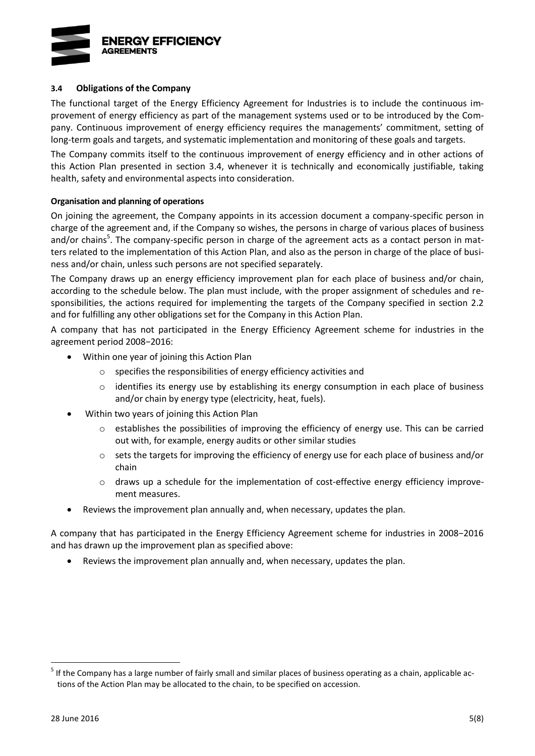

#### **3.4 Obligations of the Company**

The functional target of the Energy Efficiency Agreement for Industries is to include the continuous improvement of energy efficiency as part of the management systems used or to be introduced by the Company. Continuous improvement of energy efficiency requires the managements' commitment, setting of long-term goals and targets, and systematic implementation and monitoring of these goals and targets.

The Company commits itself to the continuous improvement of energy efficiency and in other actions of this Action Plan presented in section 3.4, whenever it is technically and economically justifiable, taking health, safety and environmental aspects into consideration.

#### **Organisation and planning of operations**

On joining the agreement, the Company appoints in its accession document a company-specific person in charge of the agreement and, if the Company so wishes, the persons in charge of various places of business and/or chains<sup>5</sup>. The company-specific person in charge of the agreement acts as a contact person in matters related to the implementation of this Action Plan, and also as the person in charge of the place of business and/or chain, unless such persons are not specified separately.

The Company draws up an energy efficiency improvement plan for each place of business and/or chain, according to the schedule below. The plan must include, with the proper assignment of schedules and responsibilities, the actions required for implementing the targets of the Company specified in section 2.2 and for fulfilling any other obligations set for the Company in this Action Plan.

A company that has not participated in the Energy Efficiency Agreement scheme for industries in the agreement period 2008−2016:

- Within one year of joining this Action Plan
	- o specifies the responsibilities of energy efficiency activities and
	- $\circ$  identifies its energy use by establishing its energy consumption in each place of business and/or chain by energy type (electricity, heat, fuels).
- Within two years of joining this Action Plan
	- $\circ$  establishes the possibilities of improving the efficiency of energy use. This can be carried out with, for example, energy audits or other similar studies
	- $\circ$  sets the targets for improving the efficiency of energy use for each place of business and/or chain
	- o draws up a schedule for the implementation of cost-effective energy efficiency improvement measures.
- Reviews the improvement plan annually and, when necessary, updates the plan.

A company that has participated in the Energy Efficiency Agreement scheme for industries in 2008−2016 and has drawn up the improvement plan as specified above:

Reviews the improvement plan annually and, when necessary, updates the plan.

<sup>&</sup>lt;sup>5</sup> If the Company has a large number of fairly small and similar places of business operating as a chain, applicable actions of the Action Plan may be allocated to the chain, to be specified on accession.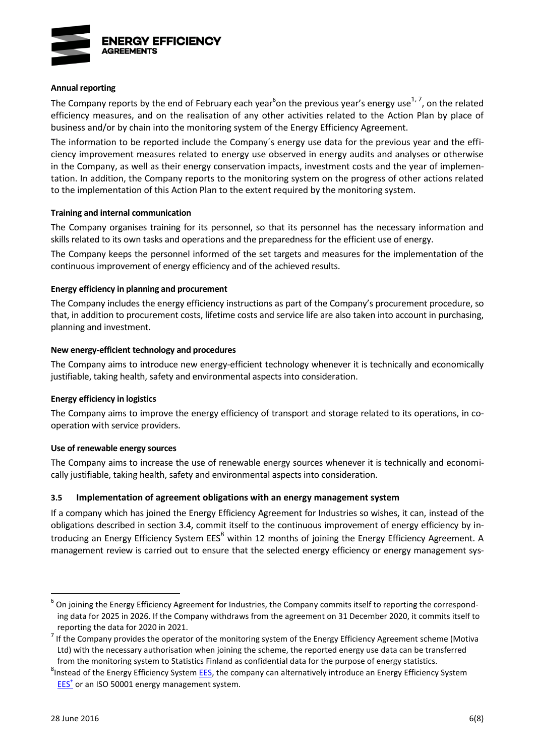

#### **Annual reporting**

<span id="page-10-1"></span><span id="page-10-0"></span>The Company reports by the end of February each year<sup>6</sup>on the previous year's energy use<sup>1,7</sup>, on the related efficiency measures, and on the realisation of any other activities related to the Action Plan by place of business and/or by chain into the monitoring system of the Energy Efficiency Agreement.

The information to be reported include the Company´s energy use data for the previous year and the efficiency improvement measures related to energy use observed in energy audits and analyses or otherwise in the Company, as well as their energy conservation impacts, investment costs and the year of implementation. In addition, the Company reports to the monitoring system on the progress of other actions related to the implementation of this Action Plan to the extent required by the monitoring system.

#### **Training and internal communication**

The Company organises training for its personnel, so that its personnel has the necessary information and skills related to its own tasks and operations and the preparedness for the efficient use of energy.

The Company keeps the personnel informed of the set targets and measures for the implementation of the continuous improvement of energy efficiency and of the achieved results.

#### **Energy efficiency in planning and procurement**

The Company includes the energy efficiency instructions as part of the Company's procurement procedure, so that, in addition to procurement costs, lifetime costs and service life are also taken into account in purchasing, planning and investment.

#### **New energy-efficient technology and procedures**

The Company aims to introduce new energy-efficient technology whenever it is technically and economically justifiable, taking health, safety and environmental aspects into consideration.

#### **Energy efficiency in logistics**

The Company aims to improve the energy efficiency of transport and storage related to its operations, in cooperation with service providers.

#### **Use of renewable energy sources**

The Company aims to increase the use of renewable energy sources whenever it is technically and economically justifiable, taking health, safety and environmental aspects into consideration.

#### **3.5 Implementation of agreement obligations with an energy management system**

If a company which has joined the Energy Efficiency Agreement for Industries so wishes, it can, instead of the obligations described in section 3.4, commit itself to the continuous improvement of energy efficiency by introducing an Energy Efficiency System EES<sup>8</sup> within 12 months of joining the Energy Efficiency Agreement. A management review is carried out to ensure that the selected energy efficiency or energy management sys-

<sup>&</sup>lt;sup>6</sup> On joining the Energy Efficiency Agreement for Industries, the Company commits itself to reporting the corresponding data for 2025 in 2026. If the Company withdraws from the agreement on 31 December 2020, it commits itself to reporting the data for 2020 in 2021.

 $<sup>7</sup>$  If the Company provides the operator of the monitoring system of the Energy Efficiency Agreement scheme (Motiva</sup> Ltd) with the necessary authorisation when joining the scheme, the reported energy use data can be transferred from the monitoring system to Statistics Finland as confidential data for the purpose of energy statistics.

<sup>&</sup>lt;sup>8</sup>Instead of the Energy Efficiency Syste[m EES,](http://www.energiatehokkuussopimukset.fi/fi/tietoa_sopimuksista/sopimustoiminnan_kulmakivet/jatkuva_parantaminen/energiatehokkuusjarjestelma/) the company can alternatively introduce an Energy Efficiency System **[EES](http://motiva.fi/toimialueet/energiakatselmustoiminta/pakollinen_suuren_yrityksen_energiakatselmus/energiatehokkuusjarjestelma_etj)<sup>+</sup>** or an ISO 50001 energy management system.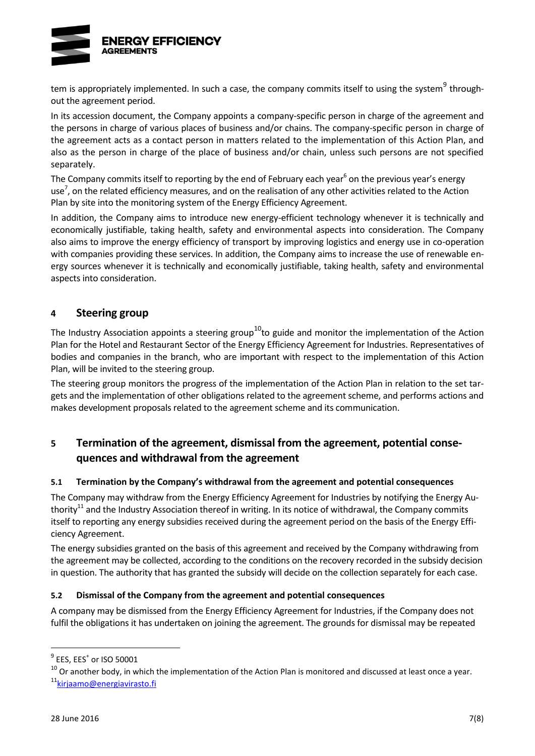

tem is appropriately implemented. In such a case, the company commits itself to using the system<sup>9</sup> throughout the agreement period.

In its accession document, the Company appoints a company-specific person in charge of the agreement and the persons in charge of various places of business and/or chains. The company-specific person in charge of the agreement acts as a contact person in matters related to the implementation of this Action Plan, and also as the person in charge of the place of business and/or chain, unless such persons are not specified separately.

The Company commits itself to [r](#page-10-0)eporting by the end of February each year<sup>6</sup> on the previous year's energy use<sup>7</sup>[,](#page-10-1) on the related efficiency measures, and on the realisation of any other activities related to the Action Plan by site into the monitoring system of the Energy Efficiency Agreement.

In addition, the Company aims to introduce new energy-efficient technology whenever it is technically and economically justifiable, taking health, safety and environmental aspects into consideration. The Company also aims to improve the energy efficiency of transport by improving logistics and energy use in co-operation with companies providing these services. In addition, the Company aims to increase the use of renewable energy sources whenever it is technically and economically justifiable, taking health, safety and environmental aspects into consideration.

### **4 Steering group**

The Industry Association appoints a steering group<sup>10</sup>to guide and monitor the implementation of the Action Plan for the Hotel and Restaurant Sector of the Energy Efficiency Agreement for Industries. Representatives of bodies and companies in the branch, who are important with respect to the implementation of this Action Plan, will be invited to the steering group.

The steering group monitors the progress of the implementation of the Action Plan in relation to the set targets and the implementation of other obligations related to the agreement scheme, and performs actions and makes development proposals related to the agreement scheme and its communication.

# **5 Termination of the agreement, dismissal from the agreement, potential consequences and withdrawal from the agreement**

#### **5.1 Termination by the Company's withdrawal from the agreement and potential consequences**

<span id="page-11-0"></span>The Company may withdraw from the Energy Efficiency Agreement for Industries by notifying the Energy Authority<sup>11</sup> and the Industry Association thereof in writing. In its notice of withdrawal, the Company commits itself to reporting any energy subsidies received during the agreement period on the basis of the Energy Efficiency Agreement.

The energy subsidies granted on the basis of this agreement and received by the Company withdrawing from the agreement may be collected, according to the conditions on the recovery recorded in the subsidy decision in question. The authority that has granted the subsidy will decide on the collection separately for each case.

#### **5.2 Dismissal of the Company from the agreement and potential consequences**

A company may be dismissed from the Energy Efficiency Agreement for Industries, if the Company does not fulfil the obligations it has undertaken on joining the agreement. The grounds for dismissal may be repeated

 $^9$  EES, EES $^+$  or ISO 50001

 $10$  Or another body, in which the implementation of the Action Plan is monitored and discussed at least once a year.

<sup>&</sup>lt;sup>11</sup> [kirjaamo@energiavirasto.fi](mailto:kirjaamo@energiavirasto.fi)